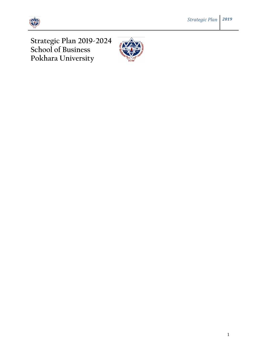



**Strategic Plan 2019-2024 School of Business Pokhara University**

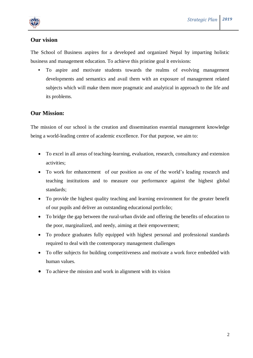

## **Our vision**

The School of Business aspires for a developed and organized Nepal by imparting holistic business and management education. To achieve this pristine goal it envisions:

**•** To aspire and motivate students towards the realms of evolving management developments and semantics and avail them with an exposure of management related subjects which will make them more pragmatic and analytical in approach to the life and its problems.

## **Our Mission:**

The mission of our school is the creation and dissemination essential management knowledge being a world-leading centre of academic excellence. For that purpose, we aim to:

- To excel in all areas of teaching-learning, evaluation, research, consultancy and extension activities;
- To work for enhancement of our position as one of the world's leading research and teaching institutions and to measure our performance against the highest global standards;
- To provide the highest quality teaching and learning environment for the greater benefit of our pupils and deliver an outstanding educational portfolio;
- To bridge the gap between the rural-urban divide and offering the benefits of education to the poor, marginalized, and needy, aiming at their empowerment;
- To produce graduates fully equipped with highest personal and professional standards required to deal with the contemporary management challenges
- To offer subjects for building competitiveness and motivate a work force embedded with human values.
- To achieve the mission and work in alignment with its vision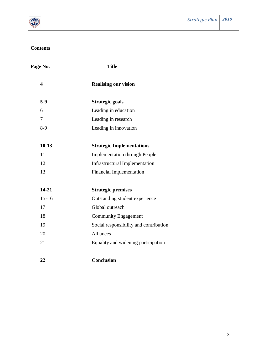

## **Contents**

| Page No.                | <b>Title</b>                           |
|-------------------------|----------------------------------------|
| $\overline{\mathbf{4}}$ | <b>Realising our vision</b>            |
| $5-9$                   | Strategic goals                        |
| 6                       | Leading in education                   |
| $\overline{7}$          | Leading in research                    |
| $8-9$                   | Leading in innovation                  |
|                         |                                        |
| $10-13$                 | <b>Strategic Implementations</b>       |
| 11                      | <b>Implementation through People</b>   |
| 12                      | <b>Infrastructural Implementation</b>  |
| 13                      | <b>Financial Implementation</b>        |
|                         |                                        |
| $14 - 21$               | <b>Strategic premises</b>              |
| $15 - 16$               | Outstanding student experience         |
| 17                      | Global outreach                        |
| 18                      | <b>Community Engagement</b>            |
| 19                      | Social responsibility and contribution |
| 20                      | <b>Alliances</b>                       |
| 21                      | Equality and widening participation    |
|                         |                                        |
| 22                      | <b>Conclusion</b>                      |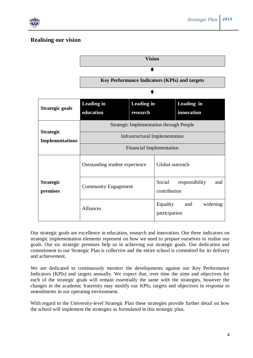

## **Realising our vision**



Our strategic goals are excellence in education, research and innovation. Our three indicators on strategic implementation elements represent on how we need to prepare ourselves to realise our goals. Our six strategic premises help us in achieving our strategic goals. Our dedication and commitment to our Strategic Plan is collective and the entire school is committed for its delivery and achievement.

We are dedicated to continuously monitor the developments against our Key Performance Indicators (KPIs) and targets annually. We expect that, over time the aims and objectives for each of the strategic goals will remain essentially the same with the strategies, however the changes in the academic fraternity may modify our KPIs, targets and objectives in response to amendments in our operating environment.

With regard to the University-level Strategic Plan these strategies provide further detail on how the school will implement the strategies as formulated in this strategic plan.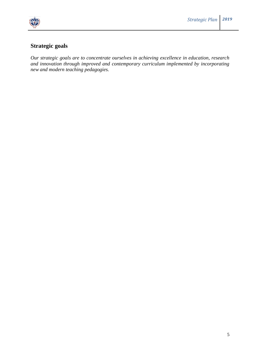

# **Strategic goals**

*Our strategic goals are to concentrate ourselves in achieving excellence in education, research and innovation through improved and contemporary curriculum implemented by incorporating new and modern teaching pedagogies.*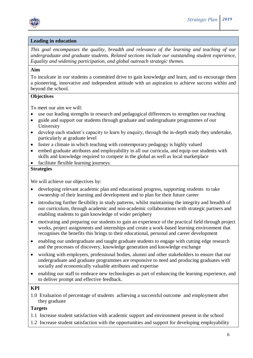

### **Leading in education**

*This goal encompasses the quality, breadth and relevance of the learning and teaching of our undergraduate and graduate students. Related sections include our outstanding student experience, Equality and widening participation, and global outreach strategic themes.* 

### **Aim**

To inculcate in our students a committed drive to gain knowledge and learn, and to encourage them a pioneering, innovative and independent attitude with an aspiration to achieve success within and beyond the school.

## **Objectives**

To meet our aim we will:

- use our leading strengths in research and pedagogical differences to strengthen our teaching
- guide and support our students through graduate and undergraduate programmes of our University
- develop each student's capacity to learn by enquiry, through the in-depth study they undertake, particularly at graduate level
- foster a climate in which teaching with contemporary pedagogy is highly valued
- embed graduate attributes and employability in all our curricula, and equip our students with skills and knowledge required to compete in the global as well as local marketplace
- facilitate flexible learning journeys.

### **Strategies**

We will achieve our objectives by:

- developing relevant academic plan and educational progress, supporting students to take ownership of their learning and development and to plan for their future career
- introducing further flexibility in study patterns, whilst maintaining the integrity and breadth of our curriculum, through academic and non-academic collaborations with strategic partners and enabling students to gain knowledge of wider periphery
- motivating and preparing our students to gain an experience of the practical field through project works, project assignments and internships and create a work-based learning environment that recognises the benefits this brings to their educational, personal and career development
- enabling our undergraduate and taught graduate students to engage with cutting edge research and the processes of discovery, knowledge generation and knowledge exchange
- working with employers, professional bodies, alumni and other stakeholders to ensure that our undergraduate and graduate programmes are responsive to need and producing graduates with socially and economically valuable attributes and expertise
- enabling our staff to embrace new technologies as part of enhancing the learning experience, and to deliver prompt and effective feedback.

### **KPI**

1.0 Evaluation of percentage of students achieving a successful outcome and employment after they graduate

- 1.1 Increase student satisfaction with academic support and environment present in the school
- 1.2 Increase student satisfaction with the opportunities and support for developing employability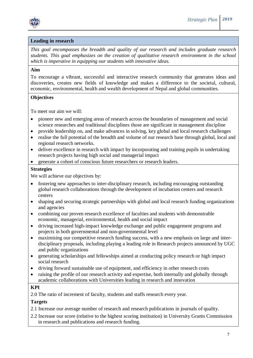

### **Leading in research**

*This goal encompasses the breadth and quality of our research and includes graduate research students. This goal emphasizes on the creation of qualitative research environment in the school which is imperative in equipping our students with innovative ideas.* 

### **Aim**

To encourage a vibrant, successful and interactive research community that generates ideas and discoveries, creates new fields of knowledge and makes a difference to the societal, cultural, economic, environmental, health and wealth development of Nepal and global communities.

### **Objectives**

To meet our aim we will:

- pioneer new and emerging areas of research across the boundaries of management and social science researches and traditional disciplines those are significant in management discipline
- provide leadership on, and make advances in solving, key global and local research challenges
- realise the full potential of the breadth and volume of our research base through global, local and regional research networks.
- deliver excellence in research with impact by incorporating and training pupils in undertaking research projects having high social and managerial impact
- generate a cohort of conscious future researchers or research leaders.

### **Strategies**

We will achieve our objectives by:

- fostering new approaches to inter-disciplinary research, including encouraging outstanding global research collaborations through the development of incubation centers and research centers
- shaping and securing strategic partnerships with global and local research funding organizations and agencies
- combining our proven research excellence of faculties and students with demonstrable economic, managerial, environmental, health and social impact
- driving increased high-impact knowledge exchange and public engagement programs and projects in both governmental and non-governmental level
- maximising our competitive research funding success, with a new emphasis on large and interdisciplinary proposals, including playing a leading role in Research projects announced by UGC and public organizations
- generating scholarships and fellowships aimed at conducting policy research or high impact social research
- driving forward sustainable use of equipment, and efficiency in other research costs
- raising the profile of our research activity and expertise, both internally and globally through academic collaborations with Universities leading in research and innovation

### **KPI**

2.0 The ratio of increment of faculty, students and staffs research every year.

### **Targets**

2.1 Increase our average number of research and research publications in journals of quality.

2.2 Increase our score (relative to the highest scoring institution) in University Grants Commission in research and publications and research funding.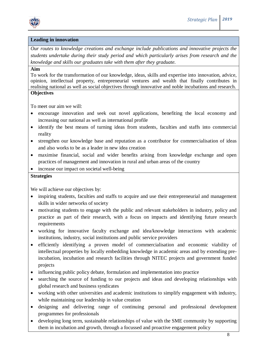

### **Leading in innovation**

*Our routes to knowledge creations and exchange include publications and innovative projects the students undertake during their study period and which particularly arises from research and the knowledge and skills our graduates take with them after they graduate.* 

### **Aim**

To work for the transformation of our knowledge, ideas, skills and expertise into innovation, advice, opinion, intellectual property, entrepreneurial ventures and wealth that finally contributes in realising national as well as social objectives through innovative and noble incubations and research. **Objectives**

To meet our aim we will:

- encourage innovation and seek out novel applications, benefiting the local economy and increasing our national as well as international profile
- identify the best means of turning ideas from students, faculties and staffs into commercial reality
- strengthen our knowledge base and reputation as a contributor for commercialisation of ideas and also works to be as a leader in new idea creation
- maximise financial, social and wider benefits arising from knowledge exchange and open practices of management and innovation in rural and urban areas of the country
- increase our impact on societal well-being

### **Strategies**

We will achieve our objectives by:

- inspiring students, faculties and staffs to acquire and use their entrepreneurial and management skills in wider networks of society
- motivating students to engage with the public and relevant stakeholders in industry, policy and practice as part of their research, with a focus on impacts and identifying future research requirements
- working for innovative faculty exchange and idea/knowledge interactions with academic institutions, industry, social institutions and public service providers
- efficiently identifying a proven model of commercialisation and economic viability of intellectual properties by locally embedding knowledge in academic areas and by extending preincubation, incubation and research facilities through NITEC projects and government funded projects
- influencing public policy debate, formulation and implementation into practice
- searching the source of funding to our projects and ideas and developing relationships with global research and business syndicates
- working with other universities and academic institutions to simplify engagement with industry, while maintaining our leadership in value creation
- designing and delivering range of continuing personal and professional development programmes for professionals
- developing long term, sustainable relationships of value with the SME community by supporting them in incubation and growth, through a focussed and proactive engagement policy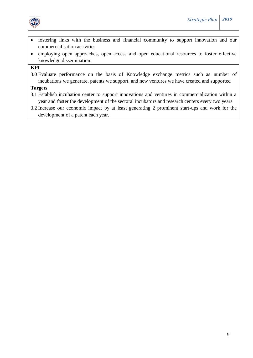

- fostering links with the business and financial community to support innovation and our commercialisation activities
- employing open approaches, open access and open educational resources to foster effective knowledge dissemination.

## **KPI**

3.0 Evaluate performance on the basis of Knowledge exchange metrics such as number of incubations we generate, patents we support, and new ventures we have created and supported

- 3.1 Establish incubation center to support innovations and ventures in commercialization within a year and foster the development of the sectoral incubators and research centers every two years
- 3.2 Increase our economic impact by at least generating 2 prominent start-ups and work for the development of a patent each year.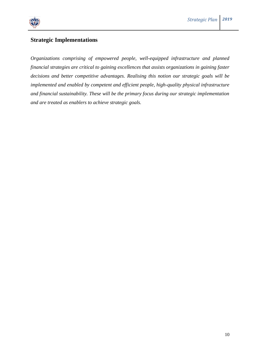

## **Strategic Implementations**

*Organizations comprising of empowered people, well-equipped infrastructure and planned financial strategies are critical to gaining excellences that assists organizations in gaining faster decisions and better competitive advantages. Realising this notion our strategic goals will be implemented and enabled by competent and efficient people, high-quality physical infrastructure and financial sustainability. These will be the primary focus during our strategic implementation and are treated as enablers to achieve strategic goals.*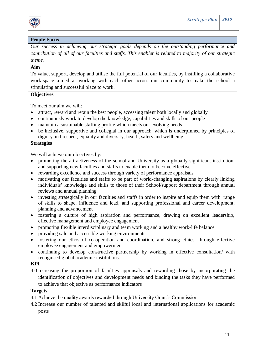

### **People Focus**

*Our success in achieving our strategic goals depends on the outstanding performance and contribution of all of our faculties and staffs. This enabler is related to majority of our strategic theme.*

## **Aim**

To value, support, develop and utilise the full potential of our faculties, by instilling a collaborative work-space aimed at working with each other across our community to make the school a stimulating and successful place to work.

### **Objectives**

To meet our aim we will:

- attract, reward and retain the best people, accessing talent both locally and globally
- continuously work to develop the knowledge, capabilities and skills of our people
- maintain a sustainable staffing profile which meets our evolving needs
- be inclusive, supportive and collegial in our approach, which is underpinned by principles of dignity and respect, equality and diversity, health, safety and wellbeing.

### **Strategies**

We will achieve our objectives by:

- promoting the attractiveness of the school and University as a globally significant institution, and supporting new faculties and staffs to enable them to become effective
- rewarding excellence and success through variety of performance appraisals
- motivating our faculties and staffs to be part of world-changing aspirations by clearly linking individuals' knowledge and skills to those of their School/support department through annual reviews and annual planning
- investing strategically in our faculties and staffs in order to inspire and equip them with range of skills to shape, influence and lead, and supporting professional and career development, planning and advancement
- fostering a culture of high aspiration and performance, drawing on excellent leadership, effective management and employee engagement
- promoting flexible interdisciplinary and team working and a healthy work-life balance
- providing safe and accessible working environments
- fostering our ethos of co-operation and coordination, and strong ethics, through effective employee engagement and empowerment
- continuing to develop constructive partnership by working in effective consultation/ with recognised global academic institutions.

### **KPI**

4.0 Increasing the proportion of faculties appraisals and rewarding those by incorporating the identification of objectives and development needs and binding the tasks they have performed to achieve that objective as performance indicators

- 4.1 Achieve the quality awards rewarded through University Grant's Commission
- 4.2 Increase our number of talented and skilful local and international applications for academic posts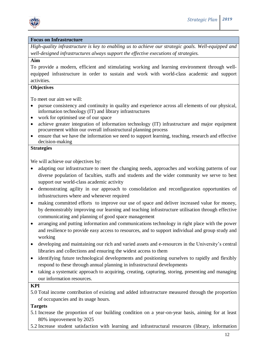

### **Focus on Infrastructure**

*High-quality infrastructure is key to enabling us to achieve our strategic goals. Well-equipped and well-designed infrastructures always support the effective executions of strategies.*

### **Aim**

To provide a modern, efficient and stimulating working and learning environment through wellequipped infrastructure in order to sustain and work with world-class academic and support activities.

### **Objectives**

To meet our aim we will:

- pursue consistency and continuity in quality and experience across all elements of our physical, information technology (IT) and library infrastructures
- work for optimised use of our space
- achieve greater integration of information technology (IT) infrastructure and major equipment procurement within our overall infrastructural planning process
- ensure that we have the information we need to support learning, teaching, research and effective decision-making

### **Strategies**

We will achieve our objectives by:

- adapting our infrastructure to meet the changing needs, approaches and working patterns of our diverse population of faculties, staffs and students and the wider community we serve to best support our world-class academic activity
- demonstrating agility in our approach to consolidation and reconfiguration opportunities of infrastructures where and whenever required
- making committed efforts to improve our use of space and deliver increased value for money, by demonstrably improving our learning and teaching infrastructure utilisation through effective communicating and planning of good space management
- arranging and putting information and communications technology in right place with the power and resilience to provide easy access to resources, and to support individual and group study and working
- developing and maintaining our rich and varied assets and e-resources in the University's central libraries and collections and ensuring the widest access to them
- identifying future technological developments and positioning ourselves to rapidly and flexibly respond to these through annual planning in infrastructural developments
- taking a systematic approach to acquiring, creating, capturing, storing, presenting and managing our information resources.

### **KPI**

5.0 Total income contribution of existing and added infrastructure measured through the proportion of occupancies and its usage hours.

- 5.1 Increase the proportion of our building condition on a year-on-year basis, aiming for at least 80% improvement by 2025
- 5.2 Increase student satisfaction with learning and infrastructural resources (library, information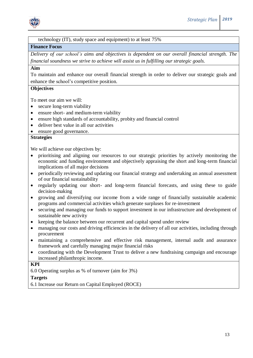

### technology (IT), study space and equipment) to at least 75%

### **Finance Focus**

*Delivery of our school's aims and objectives is dependent on our overall financial strength. The financial soundness we strive to achieve will assist us in fulfilling our strategic goals.* 

### **Aim**

To maintain and enhance our overall financial strength in order to deliver our strategic goals and enhance the school's competitive position.

### **Objectives**

To meet our aim we will:

- secure long-term viability
- ensure short- and medium-term viability
- ensure high standards of accountability, probity and financial control
- deliver best value in all our activities
- ensure good governance.

## **Strategies**

We will achieve our objectives by:

- prioritising and aligning our resources to our strategic priorities by actively monitoring the economic and funding environment and objectively appraising the short and long-term financial implications of all major decisions
- periodically reviewing and updating our financial strategy and undertaking an annual assessment of our financial sustainability
- regularly updating our short- and long-term financial forecasts, and using these to guide decision-making
- growing and diversifying our income from a wide range of financially sustainable academic programs and commercial activities which generate surpluses for re-investment
- securing and managing our funds to support investment in our infrastructure and development of sustainable new activity
- keeping the balance between our recurrent and capital spend under review
- managing our costs and driving efficiencies in the delivery of all our activities, including through procurement
- maintaining a comprehensive and effective risk management, internal audit and assurance framework and carefully managing major financial risks
- coordinating with the Development Trust to deliver a new fundraising campaign and encourage increased philanthropic income.

## **KPI**

6.0 Operating surplus as % of turnover (aim for 3%)

### **Targets**

6.1 Increase our Return on Capital Employed (ROCE)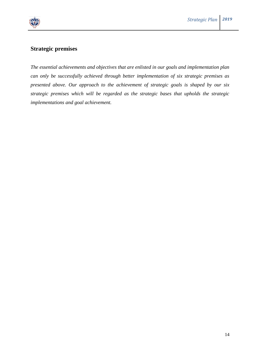

## **Strategic premises**

*The essential achievements and objectives that are enlisted in our goals and implementation plan can only be successfully achieved through better implementation of six strategic premises as presented above. Our approach to the achievement of strategic goals is shaped by our six strategic premises which will be regarded as the strategic bases that upholds the strategic implementations and goal achievement.*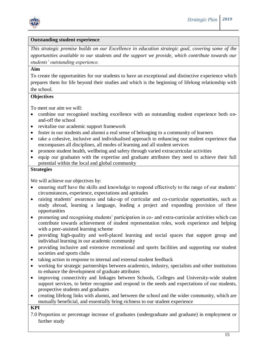

### **Outstanding student experience**

*This strategic premise builds on our Excellence in education strategic goal, covering some of the opportunities available to our students and the support we provide, which contribute towards our students' outstanding experience.* 

### **Aim**

To create the opportunities for our students to have an exceptional and distinctive experience which prepares them for life beyond their studies and which is the beginning of lifelong relationship with the school.

### **Objectives**

To meet our aim we will:

- combine our recognised teaching excellence with an outstanding student experience both onand-off the school
- revitalise our academic support framework
- foster in our students and alumni a real sense of belonging to a community of learners
- take a cohesive, inclusive and individualised approach to enhancing our student experience that encompasses all disciplines, all modes of learning and all student services
- promote student health, wellbeing and safety through varied extracurricular activities
- equip our graduates with the expertise and graduate attributes they need to achieve their full potential within the local and global community

### **Strategies**

We will achieve our objectives by:

- ensuring staff have the skills and knowledge to respond effectively to the range of our students' circumstances, experience, expectations and aptitudes
- raising students' awareness and take-up of curricular and co-curricular opportunities, such as study abroad, learning a language, leading a project and expanding provision of these opportunities
- promoting and recognising students' participation in co- and extra-curricular activities which can contribute towards achievement of student representation roles, work experience and helping with a peer-assisted learning scheme
- providing high-quality and well-placed learning and social spaces that support group and individual learning in our academic community
- providing inclusive and extensive recreational and sports facilities and supporting our student societies and sports clubs
- taking action in response to internal and external student feedback
- working for strategic partnerships between academics, industry, specialists and other institutions to enhance the development of graduate attributes
- improving connectivity and linkages between Schools, Colleges and University-wide student support services, to better recognise and respond to the needs and expectations of our students, prospective students and graduates
- creating lifelong links with alumni, and between the school and the wider community, which are mutually beneficial, and essentially bring richness to our student experience

### **KPI**

7.0 Proportion or percentage increase of graduates (undergraduate and graduate) in employment or further study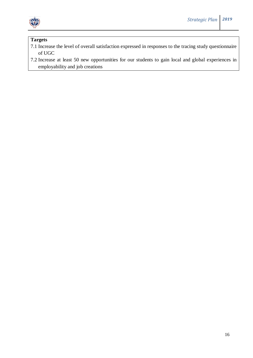

- 7.1 Increase the level of overall satisfaction expressed in responses to the tracing study questionnaire of UGC
- 7.2 Increase at least 50 new opportunities for our students to gain local and global experiences in employability and job creations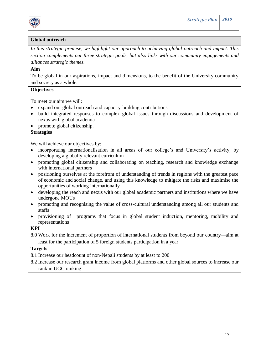

### **Global outreach**

*In this strategic premise, we highlight our approach to achieving global outreach and impact. This section complements our three strategic goals, but also links with our community engagements and alliances strategic themes.* 

### **Aim**

To be global in our aspirations, impact and dimensions, to the benefit of the University community and society as a whole.

### **Objectives**

To meet our aim we will:

- expand our global outreach and capacity-building contributions
- build integrated responses to complex global issues through discussions and development of nexus with global academia
- promote global citizenship.

## **Strategies**

We will achieve our objectives by:

- incorporating internationalisation in all areas of our college's and University's activity, by developing a globally relevant curriculum
- promoting global citizenship and collaborating on teaching, research and knowledge exchange with international partners
- positioning ourselves at the forefront of understanding of trends in regions with the greatest pace of economic and social change, and using this knowledge to mitigate the risks and maximise the opportunities of working internationally
- developing the reach and nexus with our global academic partners and institutions where we have undergone MOUs
- promoting and recognising the value of cross-cultural understanding among all our students and staffs
- provisioning of programs that focus in global student induction, mentoring, mobility and representations

#### **KPI**

8.0 Work for the increment of proportion of international students from beyond our country—aim at least for the participation of 5 foreign students participation in a year

### **Targets**

8.1 Increase our headcount of non-Nepali students by at least to 200

8.2 Increase our research grant income from global platforms and other global sources to increase our rank in UGC ranking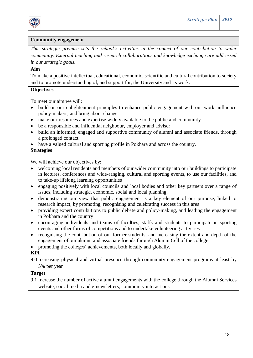

#### **Community engagement**

*This strategic premise sets the school's activities in the context of our contribution to wider community. External teaching and research collaborations and knowledge exchange are addressed in our strategic goals.* 

### **Aim**

To make a positive intellectual, educational, economic, scientific and cultural contribution to society and to promote understanding of, and support for, the University and its work.

### **Objectives**

To meet our aim we will:

- build on our enlightenment principles to enhance public engagement with our work, influence policy-makers, and bring about change
- make our resources and expertise widely available to the public and community
- be a responsible and influential neighbour, employer and adviser
- build an informed, engaged and supportive community of alumni and associate friends, through a prolonged contact
- have a valued cultural and sporting profile in Pokhara and across the country.

### **Strategies**

We will achieve our objectives by:

- welcoming local residents and members of our wider community into our buildings to participate in lectures, conferences and wide-ranging, cultural and sporting events, to use our facilities, and to take-up lifelong learning opportunities
- engaging positively with local councils and local bodies and other key partners over a range of issues, including strategic, economic, social and local planning,
- demonstrating our view that public engagement is a key element of our purpose, linked to research impact, by promoting, recognising and celebrating success in this area
- providing expert contributions to public debate and policy-making, and leading the engagement in Pokhara and the country
- encouraging individuals and teams of faculties, staffs and students to participate in sporting events and other forms of competitions and to undertake volunteering activities
- recognising the contribution of our former students, and increasing the extent and depth of the engagement of our alumni and associate friends through Alumni Cell of the college
- promoting the colleges' achievements, both locally and globally.

### **KPI**

9.0 Increasing physical and virtual presence through community engagement programs at least by 5% per year

### **Target**

9.1 Increase the number of active alumni engagements with the college through the Alumni Services website, social media and e-newsletters, community interactions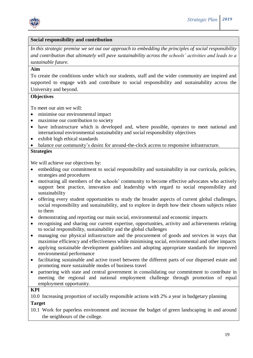

### **Social responsibility and contribution**

*In this strategic premise we set out our approach to embedding the principles of social responsibility and contribution that ultimately will pave sustainability across the schools' activities and leads to a sustainable future.* 

### **Aim**

To create the conditions under which our students, staff and the wider community are inspired and supported to engage with and contribute to social responsibility and sustainability across the University and beyond.

### **Objectives**

To meet our aim we will:

- minimise our environmental impact
- maximise our contribution to society
- have infrastructure which is developed and, where possible, operates to meet national and international environmental sustainability and social responsibility objectives
- exhibit high ethical standards
- balance our community's desire for around-the-clock access to responsive infrastructure.

### **Strategies**

We will achieve our objectives by:

- embedding our commitment to social responsibility and sustainability in our curricula, policies, strategies and procedures
- motivating all members of the schools' community to become effective advocates who actively support best practice, innovation and leadership with regard to social responsibility and sustainability
- offering every student opportunities to study the broader aspects of current global challenges, social responsibility and sustainability, and to explore in depth how their chosen subjects relate to them
- demonstrating and reporting our main social, environmental and economic impacts
- recognising and sharing our current expertise, opportunities, activity and achievements relating to social responsibility, sustainability and the global challenges
- managing our physical infrastructure and the procurement of goods and services in ways that maximise efficiency and effectiveness while minimising social, environmental and other impacts
- applying sustainable development guidelines and adopting appropriate standards for improved environmental performance
- facilitating sustainable and active travel between the different parts of our dispersed estate and promoting more sustainable modes of business travel
- partnering with state and central government in consolidating our commitment to contribute in meeting the regional and national employment challenge through promotion of equal employment opportunity.

### **KPI**

10.0 Increasing proportion of socially responsible actions with 2% a year in budgetary planning **Target**

10.1 Work for paperless environment and increase the budget of green landscaping in and around the neighbours of the college.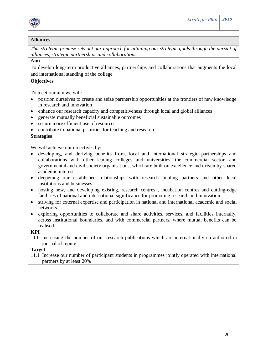

### **Alliances**

*This strategic premise sets out our approach for attaining our strategic goals through the pursuit of alliances, strategic partnerships and collaborations.* 

### **Aim**

To develop long-term productive alliances, partnerships and collaborations that augments the local and international standing of the college

### **Objectives**

To meet our aim we will:

- position ourselves to create and seize partnership opportunities at the frontiers of new knowledge in research and innovation
- enhance our research capacity and competitiveness through local and global alliances
- generate mutually beneficial sustainable outcomes
- secure more efficient use of resources
- contribute to national priorities for teaching and research.

### **Strategies**

We will achieve our objectives by:

- developing, and deriving benefits from, local and international strategic partnerships and collaborations with other leading colleges and universities, the commercial sector, and governmental and civil society organisations, which are built on excellence and driven by shared academic interest
- deepening our established relationships with research pooling partners and other local institutions and businesses
- hosting new, and developing existing, research centres, incubation centres and cutting-edge facilities of national and international significance for promoting research and innovation
- striving for external expertise and participation in national and international academic and social networks
- exploring opportunities to collaborate and share activities, services, and facilities internally, across institutional boundaries, and with commercial partners, where mutual benefits can be realised.

**KPI**

11.0 Increasing the number of our research publications which are internationally co-authored in journal of repute

### **Target**

11.1 Increase our number of participant students in programmes jointly operated with international partners by at least 20%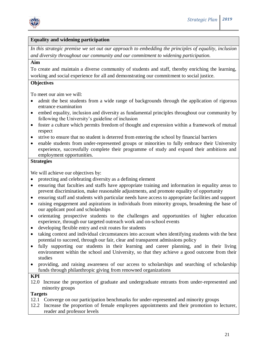

### **Equality and widening participation**

*In this strategic premise we set out our approach to embedding the principles of equality, inclusion and diversity throughout our community and our commitment to widening participation.* 

### **Aim**

To create and maintain a diverse community of students and staff, thereby enriching the learning, working and social experience for all and demonstrating our commitment to social justice.

### **Objectives**

To meet our aim we will:

- admit the best students from a wide range of backgrounds through the application of rigorous entrance examination
- embed equality, inclusion and diversity as fundamental principles throughout our community by following the University's guideline of inclusion
- foster a culture which permits freedom of thought and expression within a framework of mutual respect
- strive to ensure that no student is deterred from entering the school by financial barriers
- enable students from under-represented groups or minorities to fully embrace their University experience, successfully complete their programme of study and expand their ambitions and employment opportunities.

### **Strategies**

We will achieve our objectives by:

- protecting and celebrating diversity as a defining element
- ensuring that faculties and staffs have appropriate training and information in equality areas to prevent discrimination, make reasonable adjustments, and promote equality of opportunity
- ensuring staff and students with particular needs have access to appropriate facilities and support
- raising engagement and aspirations in individuals from minority groups, broadening the base of our applicant pool and scholarships
- orientating prospective students to the challenges and opportunities of higher education experience, through our targeted outreach work and on-school events
- developing flexible entry and exit routes for students
- taking context and individual circumstances into account when identifying students with the best potential to succeed, through our fair, clear and transparent admissions policy
- fully supporting our students in their learning and career planning, and in their living environment within the school and University, so that they achieve a good outcome from their studies
- providing, and raising awareness of our access to scholarships and searching of scholarship funds through philanthropic giving from renowned organizations

### **KPI**

12.0 Increase the proportion of graduate and undergraduate entrants from under-represented and minority groups

- 12.1 Converge on our participation benchmarks for under-represented and minority groups
- 12.2 Increase the proportion of female employees appointments and their promotion to lecturer, reader and professor levels